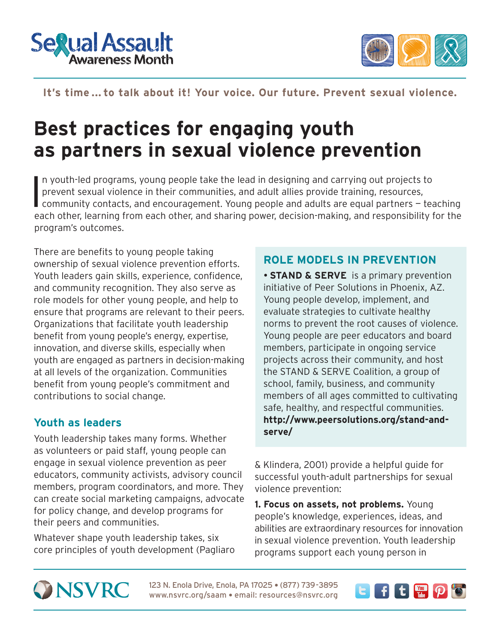



### It's time ... to talk about it! Your voice. Our future. Prevent sexual violence.

## **Best practices for engaging youth as partners in sexual violence prevention**

I n youth-led programs, young people take the lead in designing and carrying out projects to prevent sexual violence in their communities, and adult allies provide training, resources, community contacts, and encouragement. Young people and adults are equal partners — teaching each other, learning from each other, and sharing power, decision-making, and responsibility for the program's outcomes.

There are benefits to young people taking ownership of sexual violence prevention efforts. Youth leaders gain skills, experience, confidence, and community recognition. They also serve as role models for other young people, and help to ensure that programs are relevant to their peers. Organizations that facilitate youth leadership benefit from young people's energy, expertise, innovation, and diverse skills, especially when youth are engaged as partners in decision-making at all levels of the organization. Communities benefit from young people's commitment and contributions to social change.

#### **Youth as leaders**

Youth leadership takes many forms. Whether as volunteers or paid staff, young people can engage in sexual violence prevention as peer educators, community activists, advisory council members, program coordinators, and more. They can create social marketing campaigns, advocate for policy change, and develop programs for their peers and communities.

Whatever shape youth leadership takes, six core principles of youth development (Pagliaro

#### **ROLE MODELS IN PREVENTION**

**STAND & SERVE** is a primary prevention initiative of Peer Solutions in Phoenix, AZ. Young people develop, implement, and evaluate strategies to cultivate healthy norms to prevent the root causes of violence. Young people are peer educators and board members, participate in ongoing service projects across their community, and host the STAND & SERVE Coalition, a group of school, family, business, and community members of all ages committed to cultivating safe, healthy, and respectful communities. **[http://www.peersolutions.org/stand-and](http://www.peersolutions.org/stand-and-serve/)[serve/](http://www.peersolutions.org/stand-and-serve/)**

& Klindera, 2001) provide a helpful guide for successful youth-adult partnerships for sexual violence prevention:

**1. Focus on assets, not problems.** Young people's knowledge, experiences, ideas, and abilities are extraordinary resources for innovation in sexual violence prevention. Youth leadership programs support each young person in

# **ONSVRC**

123 N. Enola Drive, Enola, PA 17025 · (877) 739-3895 www.nsvrc.org/saam • email: resources@nsvrc.org

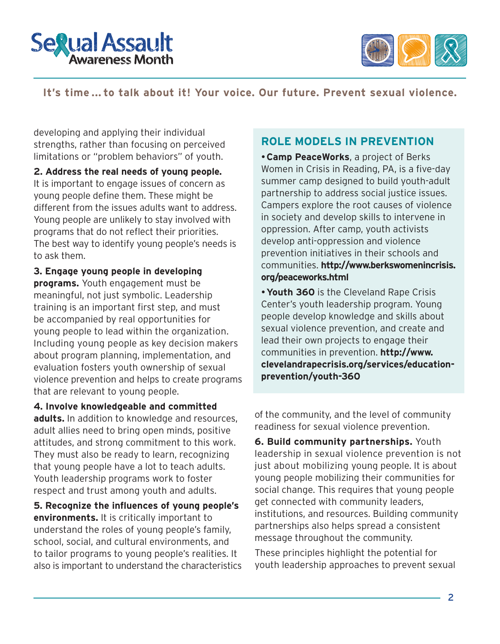



#### **It's time ... to talk about it! Your voice. Our future. Prevent sexual violence.**

developing and applying their individual strengths, rather than focusing on perceived limitations or "problem behaviors" of youth.

**2. Address the real needs of young people.**  It is important to engage issues of concern as young people define them. These might be different from the issues adults want to address. Young people are unlikely to stay involved with programs that do not reflect their priorities. The best way to identify young people's needs is to ask them.

**3. Engage young people in developing programs.** Youth engagement must be meaningful, not just symbolic. Leadership training is an important first step, and must be accompanied by real opportunities for young people to lead within the organization. Including young people as key decision makers about program planning, implementation, and evaluation fosters youth ownership of sexual violence prevention and helps to create programs that are relevant to young people.

**4. Involve knowledgeable and committed adults.** In addition to knowledge and resources, adult allies need to bring open minds, positive attitudes, and strong commitment to this work. They must also be ready to learn, recognizing that young people have a lot to teach adults. Youth leadership programs work to foster respect and trust among youth and adults.

**5. Recognize the influences of young people's environments.** It is critically important to understand the roles of young people's family, school, social, and cultural environments, and to tailor programs to young people's realities. It also is important to understand the characteristics

#### **ROLE MODELS IN PREVENTION**

**Camp PeaceWorks**, a project of Berks Women in Crisis in Reading, PA, is a five-day summer camp designed to build youth-adult partnership to address social justice issues. Campers explore the root causes of violence in society and develop skills to intervene in oppression. After camp, youth activists develop anti-oppression and violence prevention initiatives in their schools and communities. **[http://www.berkswomenincrisis.](http://www.berkswomenincrisis.org/peaceworks.html) [org/peaceworks.html](http://www.berkswomenincrisis.org/peaceworks.html)** 

**Youth 360** is the Cleveland Rape Crisis Center's youth leadership program. Young people develop knowledge and skills about sexual violence prevention, and create and lead their own projects to engage their communities in prevention. **[http://www.](http://www.clevelandrapecrisis.org/services/education-prevention/youth-360) [clevelandrapecrisis.org/services/education](http://www.clevelandrapecrisis.org/services/education-prevention/youth-360)[prevention/youth-360](http://www.clevelandrapecrisis.org/services/education-prevention/youth-360)**

of the community, and the level of community readiness for sexual violence prevention.

**6. Build community partnerships.** Youth leadership in sexual violence prevention is not just about mobilizing young people. It is about young people mobilizing their communities for social change. This requires that young people get connected with community leaders, institutions, and resources. Building community partnerships also helps spread a consistent message throughout the community.

These principles highlight the potential for youth leadership approaches to prevent sexual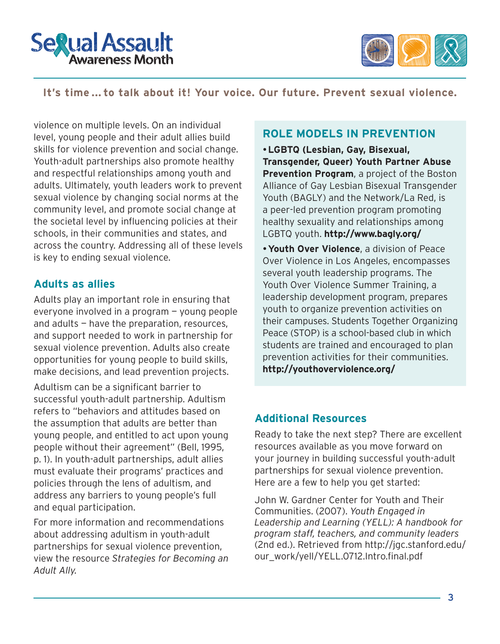



#### **It's time ... to talk about it! Your voice. Our future. Prevent sexual violence.**

violence on multiple levels. On an individual level, young people and their adult allies build skills for violence prevention and social change. Youth-adult partnerships also promote healthy and respectful relationships among youth and adults. Ultimately, youth leaders work to prevent sexual violence by changing social norms at the community level, and promote social change at the societal level by influencing policies at their schools, in their communities and states, and across the country. Addressing all of these levels is key to ending sexual violence.

#### **Adults as allies**

Adults play an important role in ensuring that everyone involved in a program — young people and adults — have the preparation, resources, and support needed to work in partnership for sexual violence prevention. Adults also create opportunities for young people to build skills, make decisions, and lead prevention projects.

Adultism can be a significant barrier to successful youth-adult partnership. Adultism refers to "behaviors and attitudes based on the assumption that adults are better than young people, and entitled to act upon young people without their agreement" (Bell, 1995, p. 1). In youth-adult partnerships, adult allies must evaluate their programs' practices and policies through the lens of adultism, and address any barriers to young people's full and equal participation.

For more information and recommendations about addressing adultism in youth-adult partnerships for sexual violence prevention, view the resource *Strategies for Becoming an Adult Ally.*

#### **ROLE MODELS IN PREVENTION**

**LGBTQ (Lesbian, Gay, Bisexual, Transgender, Queer) Youth Partner Abuse Prevention Program**, a project of the Boston Alliance of Gay Lesbian Bisexual Transgender Youth (BAGLY) and the Network/La Red, is a peer-led prevention program promoting healthy sexuality and relationships among LGBTQ youth. **<http://www.bagly.org/>**

**Youth Over Violence**, a division of Peace Over Violence in Los Angeles, encompasses several youth leadership programs. The Youth Over Violence Summer Training, a leadership development program, prepares youth to organize prevention activities on their campuses. Students Together Organizing Peace (STOP) is a school-based club in which students are trained and encouraged to plan prevention activities for their communities. **<http://youthoverviolence.org/>**

#### **Additional Resources**

Ready to take the next step? There are excellent resources available as you move forward on your journey in building successful youth-adult partnerships for sexual violence prevention. Here are a few to help you get started:

John W. Gardner Center for Youth and Their Communities. (2007). *Youth Engaged in Leadership and Learning (YELL): A handbook for program staff, teachers, and community leaders*  (2nd ed.). Retrieved from [http://jgc.stanford.edu/](http://jgc.stanford.edu/our_work/yell/YELL.0712.Intro.final.pdf) [our\\_work/yell/YELL.0712.Intro.final.pdf](http://jgc.stanford.edu/our_work/yell/YELL.0712.Intro.final.pdf)